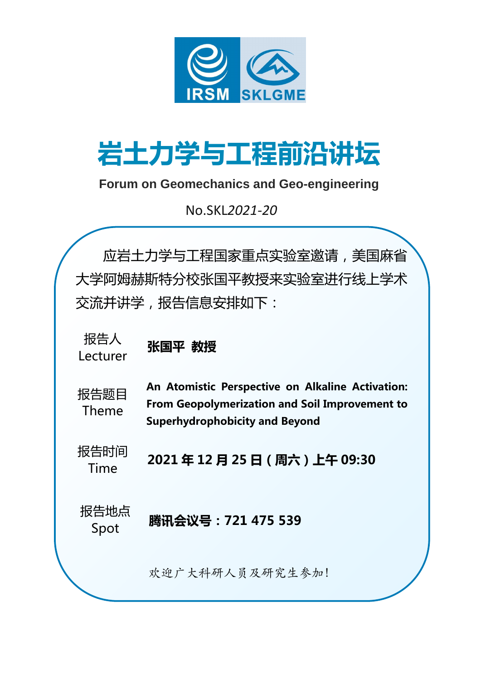

# 岩土力学与工程前沿讲坛

### **Forum on Geomechanics and Geo-engineering**

No.SKL*2021-20*

报告人 Lecturer

报告题目 Theme

报告时间 Time

报告地点



An Atomistic Perspective on Alkaline Activation: From Geopolymerization and Soil Improvement to Superhydrophobicity and Beyond

2021 年 12 月 25 日(周六)上午 09:30

应岩土力学与工程国家重点实验室邀请,美国麻省 大学阿姆赫斯特分校张国平教授来实验室进行线上学术 交流并讲学,报告信息安排如下:

张国平 教授